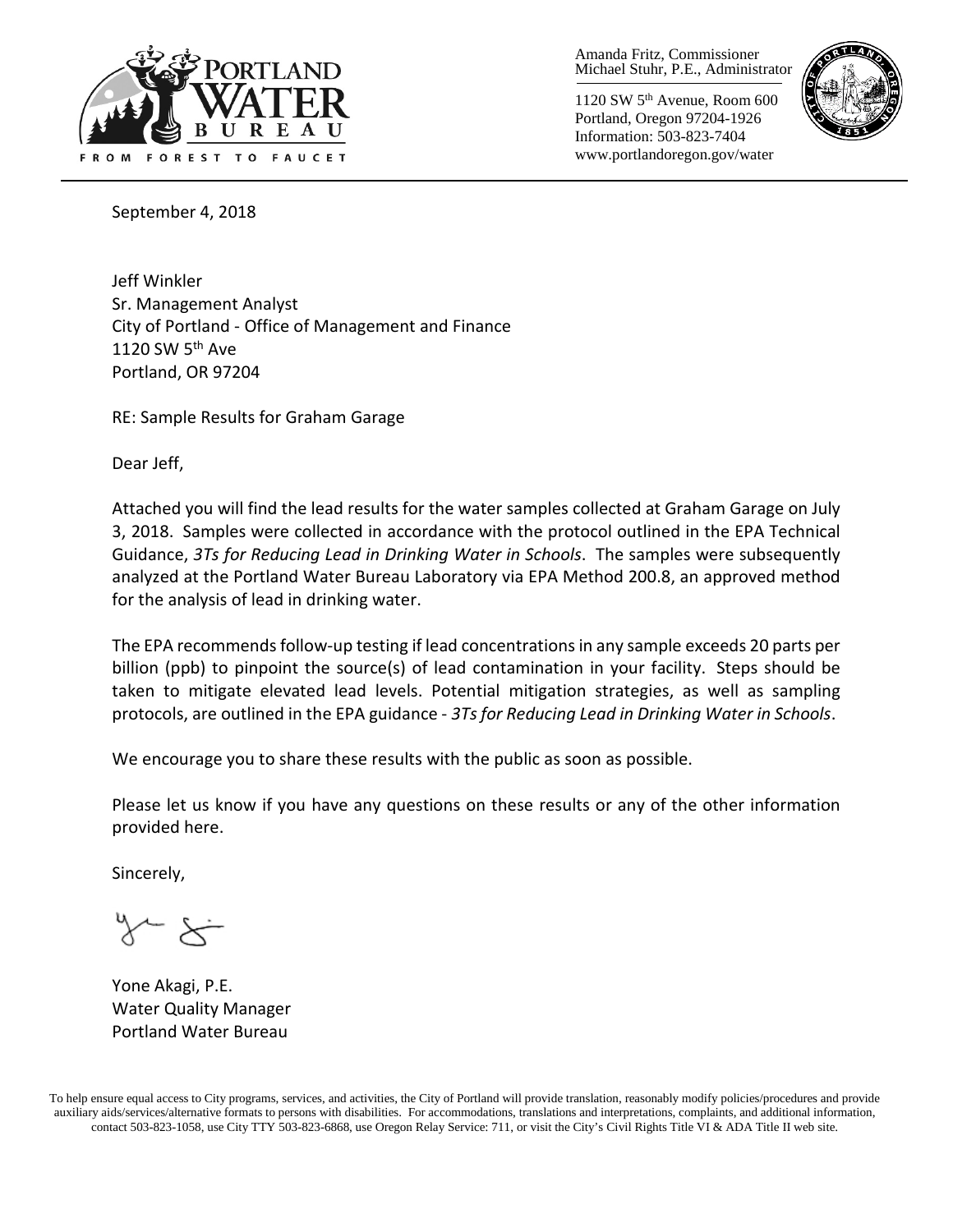

Amanda Fritz, Commissioner Michael Stuhr, P.E., Administrator

1120 SW 5th Avenue, Room 600 Portland, Oregon 97204-1926 Information: 503-823-7404 www.portlandoregon.gov/water



September 4, 2018

Jeff Winkler Sr. Management Analyst City of Portland - Office of Management and Finance 1120 SW 5<sup>th</sup> Ave Portland, OR 97204

RE: Sample Results for Graham Garage

Dear Jeff,

Attached you will find the lead results for the water samples collected at Graham Garage on July 3, 2018. Samples were collected in accordance with the protocol outlined in the EPA Technical Guidance, *3Ts for Reducing Lead in Drinking Water in Schools*. The samples were subsequently analyzed at the Portland Water Bureau Laboratory via EPA Method 200.8, an approved method for the analysis of lead in drinking water.

The EPA recommends follow-up testing if lead concentrations in any sample exceeds 20 parts per billion (ppb) to pinpoint the source(s) of lead contamination in your facility. Steps should be taken to mitigate elevated lead levels. Potential mitigation strategies, as well as sampling protocols, are outlined in the EPA guidance - *3Ts for Reducing Lead in Drinking Water in Schools*.

We encourage you to share these results with the public as soon as possible.

Please let us know if you have any questions on these results or any of the other information provided here.

Sincerely,

Yone Akagi, P.E. Water Quality Manager Portland Water Bureau

To help ensure equal access to City programs, services, and activities, the City of Portland will provide translation, reasonably modify policies/procedures and provide auxiliary aids/services/alternative formats to persons with disabilities. For accommodations, translations and interpretations, complaints, and additional information, contact 503-823-1058, use City TTY 503-823-6868, use Oregon Relay Service: 711, or visit the City's Civil Rights [Title VI & ADA Title II web site.](http://www.portlandoregon.gov/oehr/66458)